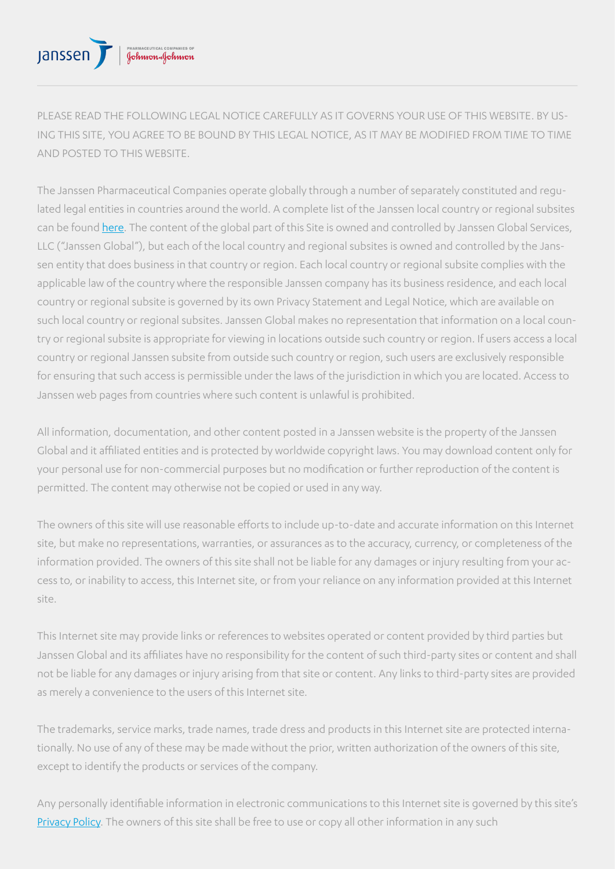## PHARMACEUTICAL COMPANIES OF<br>**Golwood afchwygw** Janssen

PLEASE READ THE FOLLOWING LEGAL NOTICE CAREFULLY AS IT GOVERNS YOUR USE OF THIS WEBSITE. BY US-ING THIS SITE, YOU AGREE TO BE BOUND BY THIS LEGAL NOTICE, AS IT MAY BE MODIFIED FROM TIME TO TIME AND POSTED TO THIS WEBSITE.

The Janssen Pharmaceutical Companies operate globally through a number of separately constituted and regulated legal entities in countries around the world. A complete list of the Janssen local country or regional subsites can be found [here.](https://www.janssen.com/legal-notice) The content of the global part of this Site is owned and controlled by Janssen Global Services, LLC ("Janssen Global"), but each of the local country and regional subsites is owned and controlled by the Janssen entity that does business in that country or region. Each local country or regional subsite complies with the applicable law of the country where the responsible Janssen company has its business residence, and each local country or regional subsite is governed by its own Privacy Statement and Legal Notice, which are available on such local country or regional subsites. Janssen Global makes no representation that information on a local country or regional subsite is appropriate for viewing in locations outside such country or region. If users access a local country or regional Janssen subsite from outside such country or region, such users are exclusively responsible for ensuring that such access is permissible under the laws of the jurisdiction in which you are located. Access to Janssen web pages from countries where such content is unlawful is prohibited.

All information, documentation, and other content posted in a Janssen website is the property of the Janssen Global and it affiliated entities and is protected by worldwide copyright laws. You may download content only for your personal use for non-commercial purposes but no modification or further reproduction of the content is permitted. The content may otherwise not be copied or used in any way.

The owners of this site will use reasonable efforts to include up-to-date and accurate information on this Internet site, but make no representations, warranties, or assurances as to the accuracy, currency, or completeness of the information provided. The owners of this site shall not be liable for any damages or injury resulting from your access to, or inability to access, this Internet site, or from your reliance on any information provided at this Internet site.

This Internet site may provide links or references to websites operated or content provided by third parties but Janssen Global and its affiliates have no responsibility for the content of such third-party sites or content and shall not be liable for any damages or injury arising from that site or content. Any links to third-party sites are provided as merely a convenience to the users of this Internet site.

The trademarks, service marks, trade names, trade dress and products in this Internet site are protected internationally. No use of any of these may be made without the prior, written authorization of the owners of this site, except to identify the products or services of the company.

Any personally identifiable information in electronic communications to this Internet site is governed by this site's [Privacy Policy.](https://static.janssen-emea.com/sites/default/files/EMEA/covidJanssen/privacy%20policies/Hungary/Hungarian/Privacy-Policy.pdf) The owners of this site shall be free to use or copy all other information in any such